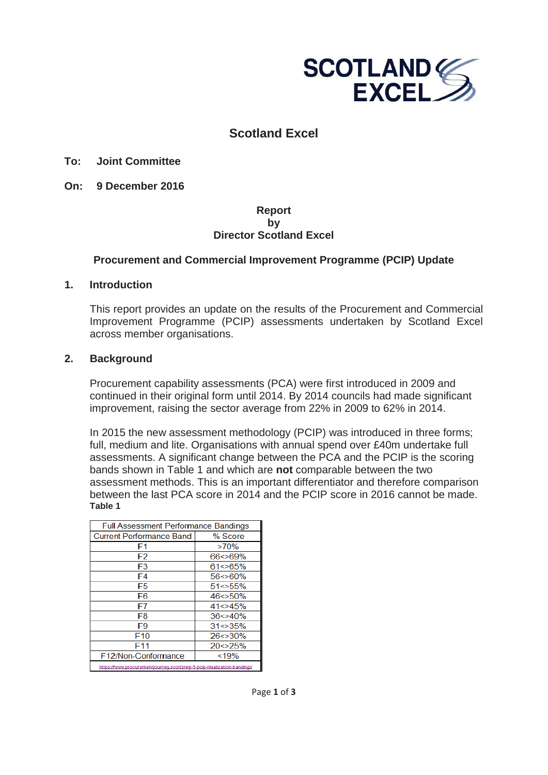

# **Scotland Excel**

## **To: Joint Committee**

**On: 9 December 2016** 

#### **Report by Director Scotland Excel**

## **Procurement and Commercial Improvement Programme (PCIP) Update**

#### **1. Introduction**

This report provides an update on the results of the Procurement and Commercial Improvement Programme (PCIP) assessments undertaken by Scotland Excel across member organisations.

## **2. Background**

Procurement capability assessments (PCA) were first introduced in 2009 and continued in their original form until 2014. By 2014 councils had made significant improvement, raising the sector average from 22% in 2009 to 62% in 2014.

In 2015 the new assessment methodology (PCIP) was introduced in three forms; full, medium and lite. Organisations with annual spend over £40m undertake full assessments. A significant change between the PCA and the PCIP is the scoring bands shown in Table 1 and which are **not** comparable between the two assessment methods. This is an important differentiator and therefore comparison between the last PCA score in 2014 and the PCIP score in 2016 cannot be made. **Table 1** 

| <b>Full Assessment Performance Bandings</b>                           |                                                                   |  |  |
|-----------------------------------------------------------------------|-------------------------------------------------------------------|--|--|
| <b>Current Performance Band</b>                                       | % Score                                                           |  |  |
| F1                                                                    | >70%                                                              |  |  |
| F <sub>2</sub>                                                        | $66 < 69\%$                                                       |  |  |
| F3                                                                    | $61 \le 65\%$                                                     |  |  |
| F4                                                                    | $56 \le 60\%$                                                     |  |  |
| F5                                                                    | $51 \le 55\%$                                                     |  |  |
| F6                                                                    | $46 \le 50\%$                                                     |  |  |
| F7                                                                    | $41 \leq 45\%$                                                    |  |  |
| F8                                                                    | $36 \leq 40\%$<br>$31 \le 35\%$<br>$26 \le 30\%$<br>$20 \le 25\%$ |  |  |
| F9                                                                    |                                                                   |  |  |
| F <sub>10</sub>                                                       |                                                                   |  |  |
| F11                                                                   |                                                                   |  |  |
| F12/Non-Conformance<br>< 19%                                          |                                                                   |  |  |
| https://www.procurementiourneu.scot/step-5-pcip-finalisation-bandings |                                                                   |  |  |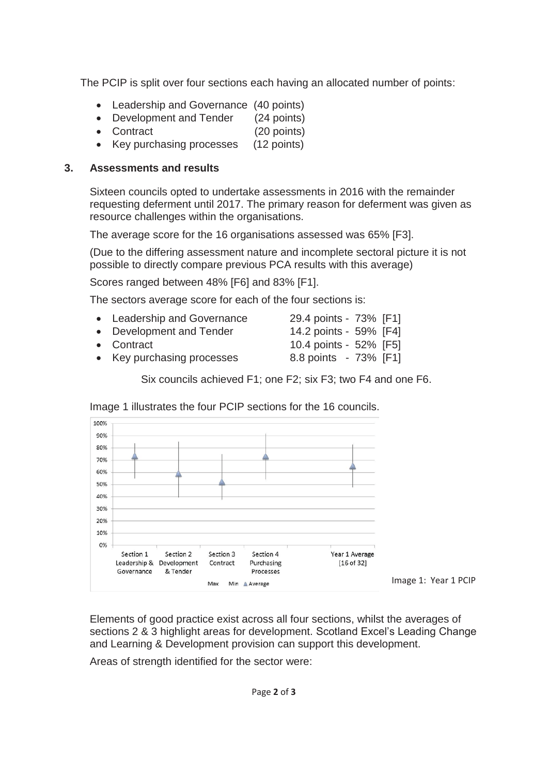The PCIP is split over four sections each having an allocated number of points:

- Leadership and Governance (40 points)
- Development and Tender (24 points)
- Contract (20 points)
- Key purchasing processes (12 points)

## **3. Assessments and results**

Sixteen councils opted to undertake assessments in 2016 with the remainder requesting deferment until 2017. The primary reason for deferment was given as resource challenges within the organisations.

The average score for the 16 organisations assessed was 65% [F3].

(Due to the differing assessment nature and incomplete sectoral picture it is not possible to directly compare previous PCA results with this average)

Scores ranged between 48% [F6] and 83% [F1].

The sectors average score for each of the four sections is:

| • Leadership and Governance | 29.4 points - 73% [F1] |  |
|-----------------------------|------------------------|--|
| • Development and Tender    | 14.2 points - 59% [F4] |  |
| • Contract                  | 10.4 points - 52% [F5] |  |
|                             |                        |  |

Key purchasing processes 8.8 points - 73% [F1]

Six councils achieved F1; one F2; six F3; two F4 and one F6.



Image 1 illustrates the four PCIP sections for the 16 councils.

Image 1: Year 1 PCIP

Elements of good practice exist across all four sections, whilst the averages of sections 2 & 3 highlight areas for development. Scotland Excel's Leading Change and Learning & Development provision can support this development.

Areas of strength identified for the sector were: